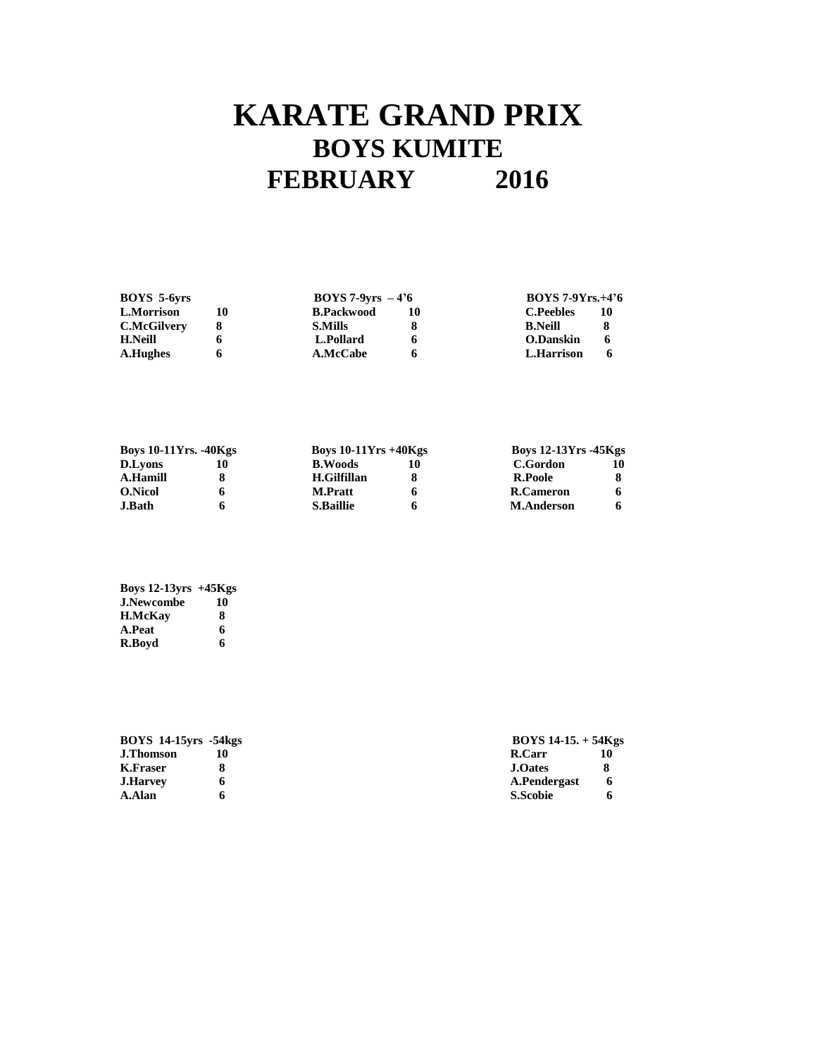# **KARATE GRAND PRIX BOYS KUMITE FEBRUARY 2016**

|                   |    | <b>BOYS 7-9Yrs.+4'6</b>    |    |
|-------------------|----|----------------------------|----|
| <b>B.Packwood</b> | 10 | <b>C.Peebles</b>           | 10 |
| <b>S.Mills</b>    |    | <b>B.Neill</b>             | x  |
| L.Pollard         |    | O.Danskin                  | 6  |
| <b>A.McCabe</b>   |    | L.Harrison                 | 6  |
|                   |    | $\text{BOYS 7-9vrs} - 4'6$ |    |

| <b>Boys 10-11Yrs. -40Kgs</b> |  |                  | Boys $10-11Yrs +40Kgs$ |                   | <b>Boys 12-13Yrs -45Kgs</b> |  |
|------------------------------|--|------------------|------------------------|-------------------|-----------------------------|--|
| <b>D.Lyons</b>               |  | <b>B.Woods</b>   |                        | C.Gordon          |                             |  |
| A.Hamill                     |  | H.Gilfillan      |                        | R.Poole           |                             |  |
| <b>O.Nicol</b>               |  | <b>M.Pratt</b>   |                        | R.Cameron         |                             |  |
| <b>J.Bath</b>                |  | <b>S.Baillie</b> |                        | <b>M.Anderson</b> |                             |  |

| Boys $12-13$ yrs $+45$ Kgs |    |
|----------------------------|----|
| <b>J.Newcombe</b>          | 10 |
| <b>H.McKav</b>             | 8  |
| A.Peat                     | 6  |
| R.Bovd                     | 6  |

| <b>BOYS 14-15 yrs -54 kgs</b> |  | $\rm BOYS$ 14-15. + 54 $\rm Kgs$ |             |
|-------------------------------|--|----------------------------------|-------------|
| <b>J.Thomson</b>              |  | R.Carr                           | 10          |
| K.Fraser                      |  | <b>J.Oates</b>                   |             |
| <b>J.Harvey</b>               |  | A.Pendergast                     | $\mathbf 6$ |
| A.Alan                        |  | <b>S.Scobie</b>                  |             |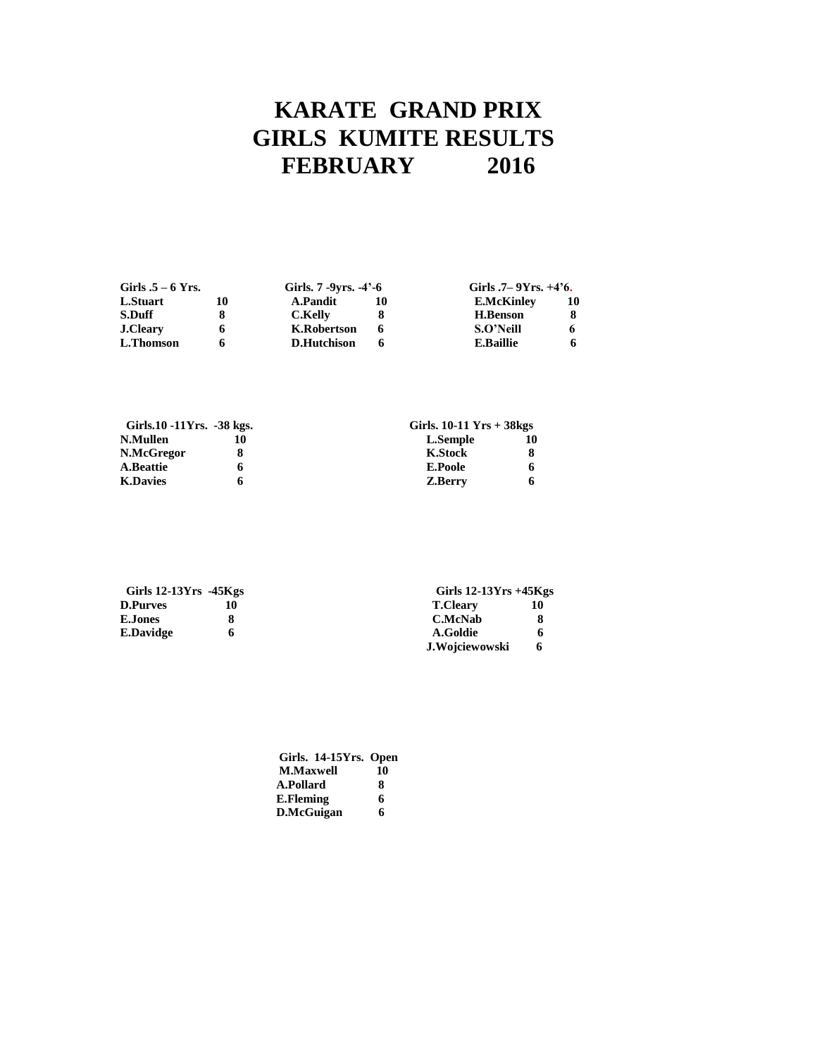## **KARATE GRAND PRIX GIRLS KUMITE RESULTS<br>FEBRUARY 2016 FEBRUARY 2016**

| Girls $.5 - 6$ Yrs. |    | Girls. $7 - 9$ vrs. $-4' - 6$ |  | Girls $.7-9Yrs. +4'6$ . |    |
|---------------------|----|-------------------------------|--|-------------------------|----|
| L.Stuart            | 10 | A.Pandit                      |  | <b>E.McKinley</b>       | 10 |
| S.Duff              |    | C.Kelly                       |  | <b>H.Benson</b>         |    |
| <b>J.Cleary</b>     | O  | K.Robertson                   |  | S.O'Neill               |    |
| L.Thomson           |    | <b>D.Hutchison</b>            |  | <b>E.Baillie</b>        |    |

| Girls.10 -11Yrs. -38 kgs. |    | Girls. $10-11$ Yrs $+38$ kgs |   |  |
|---------------------------|----|------------------------------|---|--|
| N.Mullen                  | 10 | L.Semple                     |   |  |
| N.McGregor                |    | <b>K.Stock</b>               |   |  |
| <b>A.Beattie</b>          |    | <b>E.Poole</b>               | O |  |
| <b>K.Davies</b>           |    | Z.Berry                      | O |  |

| Girls $12-13Yrs -45Kgs$ |  | Girls $12-13Yrs +45Kgs$ |    |  |
|-------------------------|--|-------------------------|----|--|
| <b>D.Purves</b>         |  | <b>T.Cleary</b>         | 10 |  |
| <b>E.Jones</b>          |  | C.McNab                 | 8  |  |
| E.Davidge               |  | A.Goldie                | 6  |  |
|                         |  | J.Wojciewowski          | 6  |  |

| Girls. 14-15Yrs. Open |    |
|-----------------------|----|
| <b>M.Maxwell</b>      | 10 |
| A.Pollard             | 8  |
| E.Fleming             | 6  |
| D.McGuigan            | 6  |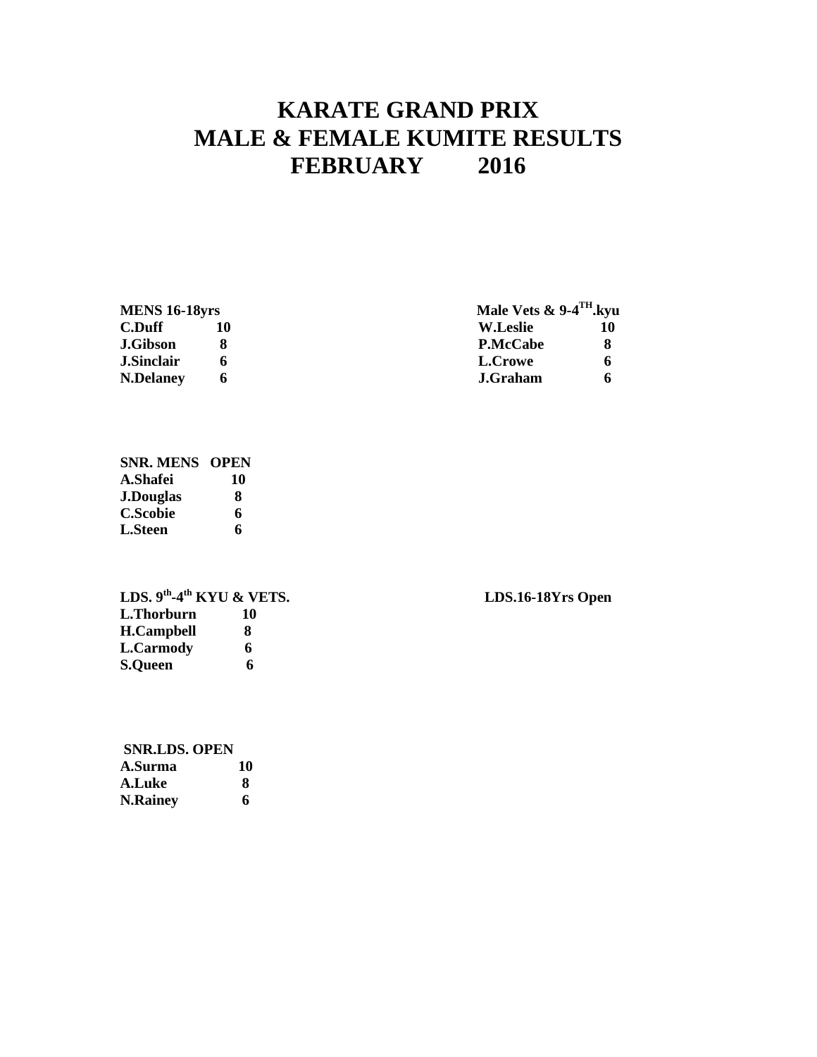### **KARATE GRAND PRIX MALE & FEMALE KUMITE RESULTS FEBRUARY 2016**

### **MENS 16-18yrs**

| <b>MENS 16-18yrs</b> |  | Male Vets $\&$ 9-4 <sup>TH</sup> .kyu |  |  |
|----------------------|--|---------------------------------------|--|--|
| C.Duff               |  | W.Leslie                              |  |  |
| J.Gibson             |  | <b>P.McCabe</b>                       |  |  |
| J.Sinclair           |  | L.Crowe                               |  |  |
| <b>N.Delaney</b>     |  | J.Graham                              |  |  |

#### **SNR. MENS OPEN A.Shafei 10 J.Douglas 8 C.Scobie 6 L.Steen 6**

**LDS. 9th -4 L.Thorburn 10 H.Campbell 8 L.Carmody 6 S.Queen 6**

| <b>SNR.LDS. OPEN</b> |    |
|----------------------|----|
| A.Surma              | 10 |
| A.Luke               | х  |
| <b>N.Rainey</b>      | 6  |

**the KDS.16-18Yrs Open**